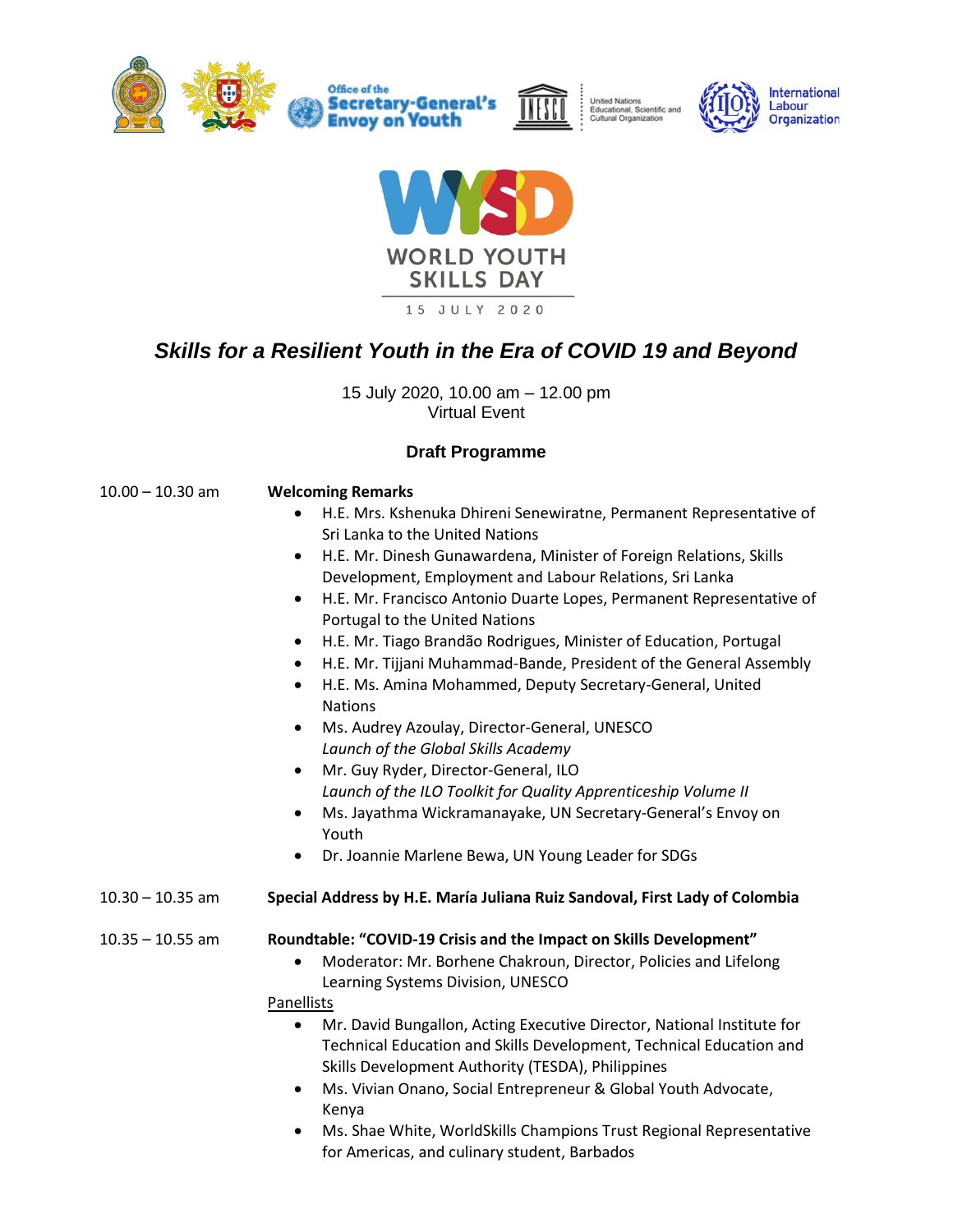



United Nations<br>Educational, Scientific and<br>Cultural Organization





15 JULY 2020

## *Skills for a Resilient Youth in the Era of COVID 19 and Beyond*

15 July 2020, 10.00 am – 12.00 pm Virtual Event

## **Draft Programme**

| $10.00 - 10.30$ am | <b>Welcoming Remarks</b>                                                                                                                                                                                        |
|--------------------|-----------------------------------------------------------------------------------------------------------------------------------------------------------------------------------------------------------------|
|                    | H.E. Mrs. Kshenuka Dhireni Senewiratne, Permanent Representative of                                                                                                                                             |
|                    | Sri Lanka to the United Nations                                                                                                                                                                                 |
|                    | H.E. Mr. Dinesh Gunawardena, Minister of Foreign Relations, Skills<br>$\bullet$                                                                                                                                 |
|                    | Development, Employment and Labour Relations, Sri Lanka                                                                                                                                                         |
|                    | H.E. Mr. Francisco Antonio Duarte Lopes, Permanent Representative of<br>$\bullet$<br>Portugal to the United Nations                                                                                             |
|                    | H.E. Mr. Tiago Brandão Rodrigues, Minister of Education, Portugal                                                                                                                                               |
|                    | H.E. Mr. Tijjani Muhammad-Bande, President of the General Assembly                                                                                                                                              |
|                    | H.E. Ms. Amina Mohammed, Deputy Secretary-General, United<br>$\bullet$<br><b>Nations</b>                                                                                                                        |
|                    | Ms. Audrey Azoulay, Director-General, UNESCO<br>$\bullet$                                                                                                                                                       |
|                    | Launch of the Global Skills Academy                                                                                                                                                                             |
|                    | Mr. Guy Ryder, Director-General, ILO<br>$\bullet$                                                                                                                                                               |
|                    | Launch of the ILO Toolkit for Quality Apprenticeship Volume II                                                                                                                                                  |
|                    | Ms. Jayathma Wickramanayake, UN Secretary-General's Envoy on<br>$\bullet$<br>Youth                                                                                                                              |
|                    | Dr. Joannie Marlene Bewa, UN Young Leader for SDGs<br>$\bullet$                                                                                                                                                 |
| $10.30 - 10.35$ am | Special Address by H.E. María Juliana Ruiz Sandoval, First Lady of Colombia                                                                                                                                     |
| $10.35 - 10.55$ am | Roundtable: "COVID-19 Crisis and the Impact on Skills Development"                                                                                                                                              |
|                    | Moderator: Mr. Borhene Chakroun, Director, Policies and Lifelong<br>Learning Systems Division, UNESCO                                                                                                           |
|                    | Panellists                                                                                                                                                                                                      |
|                    | Mr. David Bungallon, Acting Executive Director, National Institute for<br>$\bullet$<br>Technical Education and Skills Development, Technical Education and<br>Skills Development Authority (TESDA), Philippines |
|                    | Ms. Vivian Onano, Social Entrepreneur & Global Youth Advocate,<br>$\bullet$<br>Kenya                                                                                                                            |
|                    | Mc Shae White WorldSkills Champions Trust Regional Representative                                                                                                                                               |

• Ms. Shae White, WorldSkills Champions Trust Regional Representative for Americas, and culinary student, Barbados